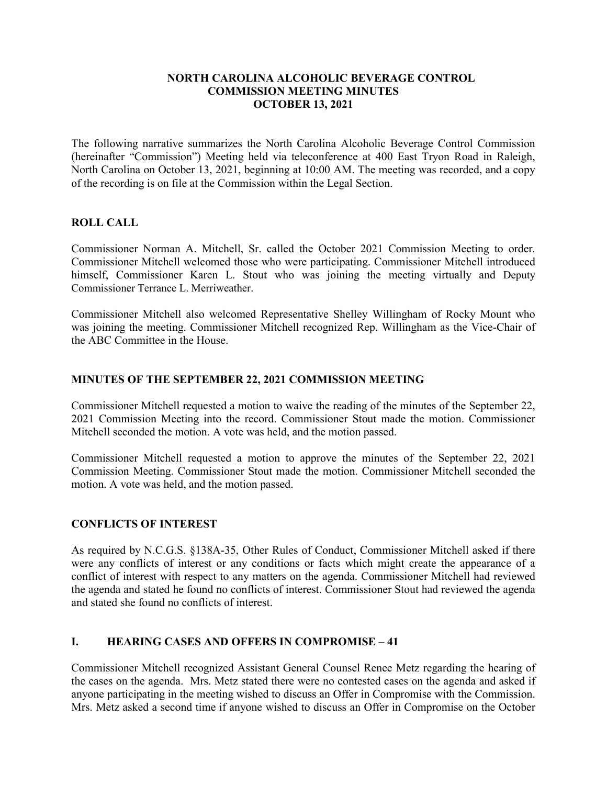#### **NORTH CAROLINA ALCOHOLIC BEVERAGE CONTROL COMMISSION MEETING MINUTES OCTOBER 13, 2021**

The following narrative summarizes the North Carolina Alcoholic Beverage Control Commission (hereinafter "Commission") Meeting held via teleconference at 400 East Tryon Road in Raleigh, North Carolina on October 13, 2021, beginning at 10:00 AM. The meeting was recorded, and a copy of the recording is on file at the Commission within the Legal Section.

## **ROLL CALL**

Commissioner Norman A. Mitchell, Sr. called the October 2021 Commission Meeting to order. Commissioner Mitchell welcomed those who were participating. Commissioner Mitchell introduced himself, Commissioner Karen L. Stout who was joining the meeting virtually and Deputy Commissioner Terrance L. Merriweather.

Commissioner Mitchell also welcomed Representative Shelley Willingham of Rocky Mount who was joining the meeting. Commissioner Mitchell recognized Rep. Willingham as the Vice-Chair of the ABC Committee in the House.

#### **MINUTES OF THE SEPTEMBER 22, 2021 COMMISSION MEETING**

Commissioner Mitchell requested a motion to waive the reading of the minutes of the September 22, 2021 Commission Meeting into the record. Commissioner Stout made the motion. Commissioner Mitchell seconded the motion. A vote was held, and the motion passed.

Commissioner Mitchell requested a motion to approve the minutes of the September 22, 2021 Commission Meeting. Commissioner Stout made the motion. Commissioner Mitchell seconded the motion. A vote was held, and the motion passed.

## **CONFLICTS OF INTEREST**

As required by N.C.G.S. §138A-35, Other Rules of Conduct, Commissioner Mitchell asked if there were any conflicts of interest or any conditions or facts which might create the appearance of a conflict of interest with respect to any matters on the agenda. Commissioner Mitchell had reviewed the agenda and stated he found no conflicts of interest. Commissioner Stout had reviewed the agenda and stated she found no conflicts of interest.

## **I. HEARING CASES AND OFFERS IN COMPROMISE – 41**

Commissioner Mitchell recognized Assistant General Counsel Renee Metz regarding the hearing of the cases on the agenda. Mrs. Metz stated there were no contested cases on the agenda and asked if anyone participating in the meeting wished to discuss an Offer in Compromise with the Commission. Mrs. Metz asked a second time if anyone wished to discuss an Offer in Compromise on the October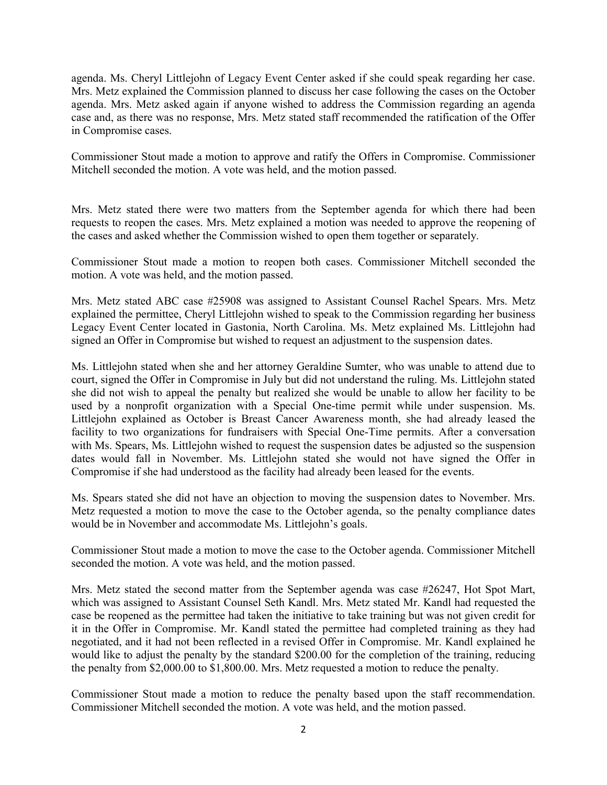agenda. Ms. Cheryl Littlejohn of Legacy Event Center asked if she could speak regarding her case. Mrs. Metz explained the Commission planned to discuss her case following the cases on the October agenda. Mrs. Metz asked again if anyone wished to address the Commission regarding an agenda case and, as there was no response, Mrs. Metz stated staff recommended the ratification of the Offer in Compromise cases.

Commissioner Stout made a motion to approve and ratify the Offers in Compromise. Commissioner Mitchell seconded the motion. A vote was held, and the motion passed.

Mrs. Metz stated there were two matters from the September agenda for which there had been requests to reopen the cases. Mrs. Metz explained a motion was needed to approve the reopening of the cases and asked whether the Commission wished to open them together or separately.

Commissioner Stout made a motion to reopen both cases. Commissioner Mitchell seconded the motion. A vote was held, and the motion passed.

Mrs. Metz stated ABC case #25908 was assigned to Assistant Counsel Rachel Spears. Mrs. Metz explained the permittee, Cheryl Littlejohn wished to speak to the Commission regarding her business Legacy Event Center located in Gastonia, North Carolina. Ms. Metz explained Ms. Littlejohn had signed an Offer in Compromise but wished to request an adjustment to the suspension dates.

Ms. Littlejohn stated when she and her attorney Geraldine Sumter, who was unable to attend due to court, signed the Offer in Compromise in July but did not understand the ruling. Ms. Littlejohn stated she did not wish to appeal the penalty but realized she would be unable to allow her facility to be used by a nonprofit organization with a Special One-time permit while under suspension. Ms. Littlejohn explained as October is Breast Cancer Awareness month, she had already leased the facility to two organizations for fundraisers with Special One-Time permits. After a conversation with Ms. Spears, Ms. Littlejohn wished to request the suspension dates be adjusted so the suspension dates would fall in November. Ms. Littlejohn stated she would not have signed the Offer in Compromise if she had understood as the facility had already been leased for the events.

Ms. Spears stated she did not have an objection to moving the suspension dates to November. Mrs. Metz requested a motion to move the case to the October agenda, so the penalty compliance dates would be in November and accommodate Ms. Littlejohn's goals.

Commissioner Stout made a motion to move the case to the October agenda. Commissioner Mitchell seconded the motion. A vote was held, and the motion passed.

Mrs. Metz stated the second matter from the September agenda was case #26247, Hot Spot Mart, which was assigned to Assistant Counsel Seth Kandl. Mrs. Metz stated Mr. Kandl had requested the case be reopened as the permittee had taken the initiative to take training but was not given credit for it in the Offer in Compromise. Mr. Kandl stated the permittee had completed training as they had negotiated, and it had not been reflected in a revised Offer in Compromise. Mr. Kandl explained he would like to adjust the penalty by the standard \$200.00 for the completion of the training, reducing the penalty from \$2,000.00 to \$1,800.00. Mrs. Metz requested a motion to reduce the penalty.

Commissioner Stout made a motion to reduce the penalty based upon the staff recommendation. Commissioner Mitchell seconded the motion. A vote was held, and the motion passed.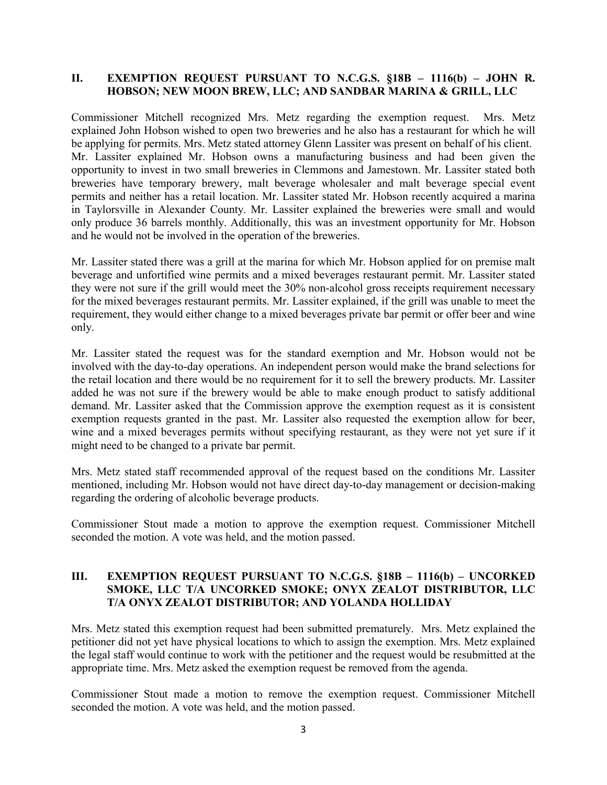## **II. EXEMPTION REQUEST PURSUANT TO N.C.G.S. §18B – 1116(b) – JOHN R. HOBSON; NEW MOON BREW, LLC; AND SANDBAR MARINA & GRILL, LLC**

Commissioner Mitchell recognized Mrs. Metz regarding the exemption request. Mrs. Metz explained John Hobson wished to open two breweries and he also has a restaurant for which he will be applying for permits. Mrs. Metz stated attorney Glenn Lassiter was present on behalf of his client. Mr. Lassiter explained Mr. Hobson owns a manufacturing business and had been given the opportunity to invest in two small breweries in Clemmons and Jamestown. Mr. Lassiter stated both breweries have temporary brewery, malt beverage wholesaler and malt beverage special event permits and neither has a retail location. Mr. Lassiter stated Mr. Hobson recently acquired a marina in Taylorsville in Alexander County. Mr. Lassiter explained the breweries were small and would only produce 36 barrels monthly. Additionally, this was an investment opportunity for Mr. Hobson and he would not be involved in the operation of the breweries.

Mr. Lassiter stated there was a grill at the marina for which Mr. Hobson applied for on premise malt beverage and unfortified wine permits and a mixed beverages restaurant permit. Mr. Lassiter stated they were not sure if the grill would meet the 30% non-alcohol gross receipts requirement necessary for the mixed beverages restaurant permits. Mr. Lassiter explained, if the grill was unable to meet the requirement, they would either change to a mixed beverages private bar permit or offer beer and wine only.

Mr. Lassiter stated the request was for the standard exemption and Mr. Hobson would not be involved with the day-to-day operations. An independent person would make the brand selections for the retail location and there would be no requirement for it to sell the brewery products. Mr. Lassiter added he was not sure if the brewery would be able to make enough product to satisfy additional demand. Mr. Lassiter asked that the Commission approve the exemption request as it is consistent exemption requests granted in the past. Mr. Lassiter also requested the exemption allow for beer, wine and a mixed beverages permits without specifying restaurant, as they were not yet sure if it might need to be changed to a private bar permit.

Mrs. Metz stated staff recommended approval of the request based on the conditions Mr. Lassiter mentioned, including Mr. Hobson would not have direct day-to-day management or decision-making regarding the ordering of alcoholic beverage products.

Commissioner Stout made a motion to approve the exemption request. Commissioner Mitchell seconded the motion. A vote was held, and the motion passed.

## **III. EXEMPTION REQUEST PURSUANT TO N.C.G.S. §18B – 1116(b) – UNCORKED SMOKE, LLC T/A UNCORKED SMOKE; ONYX ZEALOT DISTRIBUTOR, LLC T/A ONYX ZEALOT DISTRIBUTOR; AND YOLANDA HOLLIDAY**

Mrs. Metz stated this exemption request had been submitted prematurely. Mrs. Metz explained the petitioner did not yet have physical locations to which to assign the exemption. Mrs. Metz explained the legal staff would continue to work with the petitioner and the request would be resubmitted at the appropriate time. Mrs. Metz asked the exemption request be removed from the agenda.

Commissioner Stout made a motion to remove the exemption request. Commissioner Mitchell seconded the motion. A vote was held, and the motion passed.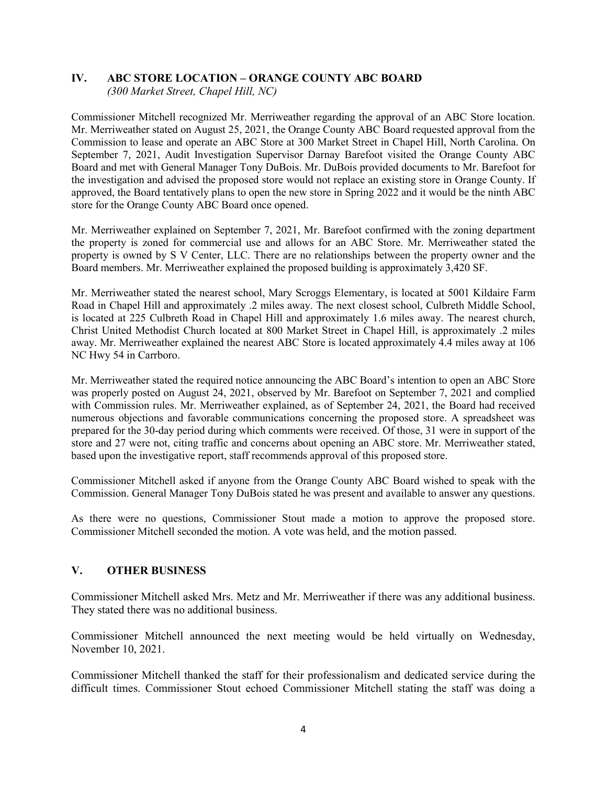# **IV. ABC STORE LOCATION – ORANGE COUNTY ABC BOARD**

*(300 Market Street, Chapel Hill, NC)*

Commissioner Mitchell recognized Mr. Merriweather regarding the approval of an ABC Store location. Mr. Merriweather stated on August 25, 2021, the Orange County ABC Board requested approval from the Commission to lease and operate an ABC Store at 300 Market Street in Chapel Hill, North Carolina. On September 7, 2021, Audit Investigation Supervisor Darnay Barefoot visited the Orange County ABC Board and met with General Manager Tony DuBois. Mr. DuBois provided documents to Mr. Barefoot for the investigation and advised the proposed store would not replace an existing store in Orange County. If approved, the Board tentatively plans to open the new store in Spring 2022 and it would be the ninth ABC store for the Orange County ABC Board once opened.

Mr. Merriweather explained on September 7, 2021, Mr. Barefoot confirmed with the zoning department the property is zoned for commercial use and allows for an ABC Store. Mr. Merriweather stated the property is owned by S V Center, LLC. There are no relationships between the property owner and the Board members. Mr. Merriweather explained the proposed building is approximately 3,420 SF.

Mr. Merriweather stated the nearest school, Mary Scroggs Elementary, is located at 5001 Kildaire Farm Road in Chapel Hill and approximately .2 miles away. The next closest school, Culbreth Middle School, is located at 225 Culbreth Road in Chapel Hill and approximately 1.6 miles away. The nearest church, Christ United Methodist Church located at 800 Market Street in Chapel Hill, is approximately .2 miles away. Mr. Merriweather explained the nearest ABC Store is located approximately 4.4 miles away at 106 NC Hwy 54 in Carrboro.

Mr. Merriweather stated the required notice announcing the ABC Board's intention to open an ABC Store was properly posted on August 24, 2021, observed by Mr. Barefoot on September 7, 2021 and complied with Commission rules. Mr. Merriweather explained, as of September 24, 2021, the Board had received numerous objections and favorable communications concerning the proposed store. A spreadsheet was prepared for the 30-day period during which comments were received. Of those, 31 were in support of the store and 27 were not, citing traffic and concerns about opening an ABC store. Mr. Merriweather stated, based upon the investigative report, staff recommends approval of this proposed store.

Commissioner Mitchell asked if anyone from the Orange County ABC Board wished to speak with the Commission. General Manager Tony DuBois stated he was present and available to answer any questions.

As there were no questions, Commissioner Stout made a motion to approve the proposed store. Commissioner Mitchell seconded the motion. A vote was held, and the motion passed.

## **V. OTHER BUSINESS**

Commissioner Mitchell asked Mrs. Metz and Mr. Merriweather if there was any additional business. They stated there was no additional business.

Commissioner Mitchell announced the next meeting would be held virtually on Wednesday, November 10, 2021.

Commissioner Mitchell thanked the staff for their professionalism and dedicated service during the difficult times. Commissioner Stout echoed Commissioner Mitchell stating the staff was doing a